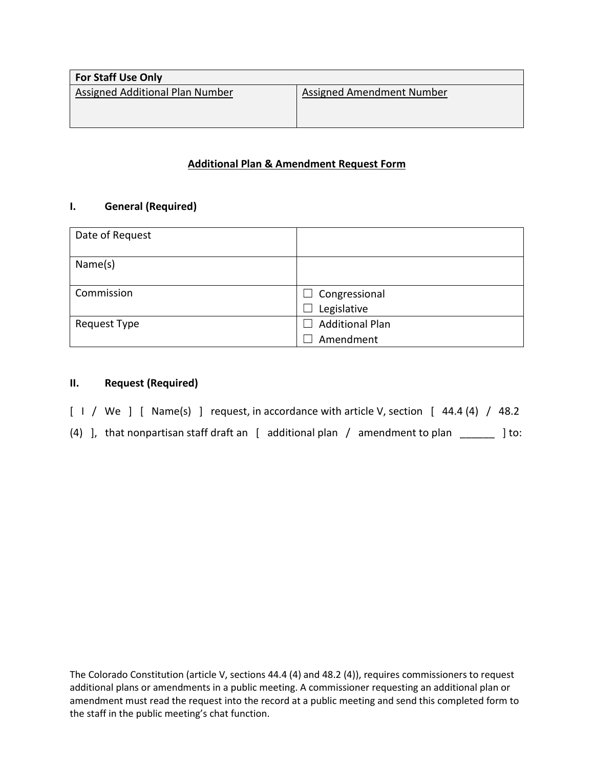| <b>For Staff Use Only</b>       |                           |
|---------------------------------|---------------------------|
| Assigned Additional Plan Number | Assigned Amendment Number |
|                                 |                           |
|                                 |                           |

# **Additional Plan & Amendment Request Form**

## **I. General (Required)**

| Date of Request |                                                    |
|-----------------|----------------------------------------------------|
| Name(s)         |                                                    |
| Commission      | $\Box$ Congressional                               |
|                 | Legislative                                        |
| Request Type    | <b>Additional Plan</b><br>$\overline{\phantom{a}}$ |
|                 | Amendment                                          |

## **II. Request (Required)**

- [ I / We ] [ Name(s) ] request, in accordance with article V, section [ 44.4 (4) / 48.2
- (4) ], that nonpartisan staff draft an [ additional plan / amendment to plan \_\_\_\_\_\_ ] to:

The Colorado Constitution (article V, sections 44.4 (4) and 48.2 (4)), requires commissioners to request additional plans or amendments in a public meeting. A commissioner requesting an additional plan or amendment must read the request into the record at a public meeting and send this completed form to the staff in the public meeting's chat function.